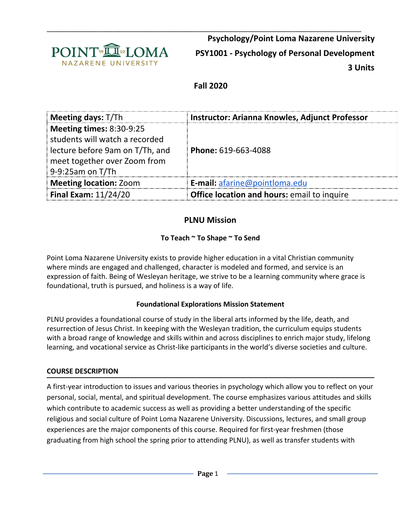

\_\_\_\_\_\_\_\_\_\_\_\_\_\_\_\_\_\_\_\_\_\_\_\_\_\_\_\_\_\_\_\_\_\_\_\_\_\_\_\_\_\_\_\_\_\_\_\_\_\_\_\_\_\_\_\_\_\_\_\_\_\_\_\_\_\_\_\_\_\_\_\_\_\_\_\_\_\_\_\_\_ **Psychology/Point Loma Nazarene University PSY1001 - Psychology of Personal Development 3 Units**

# **Fall 2020**

| Meeting days: T/Th                                                                                                                                       | Instructor: Arianna Knowles, Adjunct Professor |
|----------------------------------------------------------------------------------------------------------------------------------------------------------|------------------------------------------------|
| <b>Meeting times: 8:30-9:25</b><br>students will watch a recorded<br>lecture before 9am on T/Th, and<br>meet together over Zoom from<br>9-9:25am on T/Th | Phone: 619-663-4088                            |
| <b>Meeting location: Zoom</b>                                                                                                                            | E-mail: afarine@pointloma.edu                  |
| Final Exam: $11/24/20$                                                                                                                                   | Office location and hours: email to inquire    |

# **PLNU Mission**

# **To Teach ~ To Shape ~ To Send**

Point Loma Nazarene University exists to provide higher education in a vital Christian community where minds are engaged and challenged, character is modeled and formed, and service is an expression of faith. Being of Wesleyan heritage, we strive to be a learning community where grace is foundational, truth is pursued, and holiness is a way of life.

# **Foundational Explorations Mission Statement**

PLNU provides a foundational course of study in the liberal arts informed by the life, death, and resurrection of Jesus Christ. In keeping with the Wesleyan tradition, the curriculum equips students with a broad range of knowledge and skills within and across disciplines to enrich major study, lifelong learning, and vocational service as Christ-like participants in the world's diverse societies and culture.

### **COURSE DESCRIPTION**

A first-year introduction to issues and various theories in psychology which allow you to reflect on your personal, social, mental, and spiritual development. The course emphasizes various attitudes and skills which contribute to academic success as well as providing a better understanding of the specific religious and social culture of Point Loma Nazarene University. Discussions, lectures, and small group experiences are the major components of this course. Required for first-year freshmen (those graduating from high school the spring prior to attending PLNU), as well as transfer students with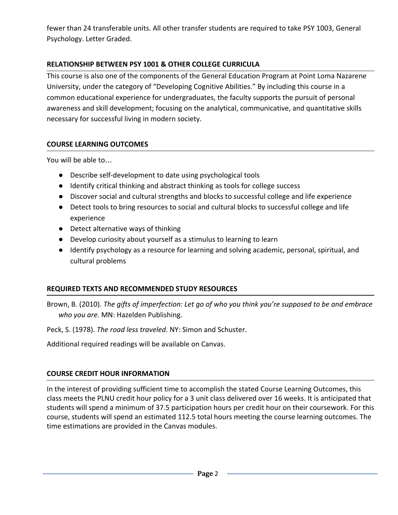fewer than 24 transferable units. All other transfer students are required to take PSY 1003, General Psychology. Letter Graded.

# **RELATIONSHIP BETWEEN PSY 1001 & OTHER COLLEGE CURRICULA**

This course is also one of the components of the General Education Program at Point Loma Nazarene University, under the category of "Developing Cognitive Abilities." By including this course in a common educational experience for undergraduates, the faculty supports the pursuit of personal awareness and skill development; focusing on the analytical, communicative, and quantitative skills necessary for successful living in modern society.

# **COURSE LEARNING OUTCOMES**

You will be able to…

- Describe self-development to date using psychological tools
- Identify critical thinking and abstract thinking as tools for college success
- Discover social and cultural strengths and blocks to successful college and life experience
- Detect tools to bring resources to social and cultural blocks to successful college and life experience
- Detect alternative ways of thinking
- Develop curiosity about yourself as a stimulus to learning to learn
- Identify psychology as a resource for learning and solving academic, personal, spiritual, and cultural problems

# **REQUIRED TEXTS AND RECOMMENDED STUDY RESOURCES**

Brown, B. (2010). *The gifts of imperfection: Let go of who you think you're supposed to be and embrace who you are.* MN: Hazelden Publishing.

Peck, S. (1978). *The road less traveled*. NY: Simon and Schuster.

Additional required readings will be available on Canvas.

# **COURSE CREDIT HOUR INFORMATION**

In the interest of providing sufficient time to accomplish the stated Course Learning Outcomes, this class meets the PLNU credit hour policy for a 3 unit class delivered over 16 weeks. It is anticipated that students will spend a minimum of 37.5 participation hours per credit hour on their coursework. For this course, students will spend an estimated 112.5 total hours meeting the course learning outcomes. The time estimations are provided in the Canvas modules.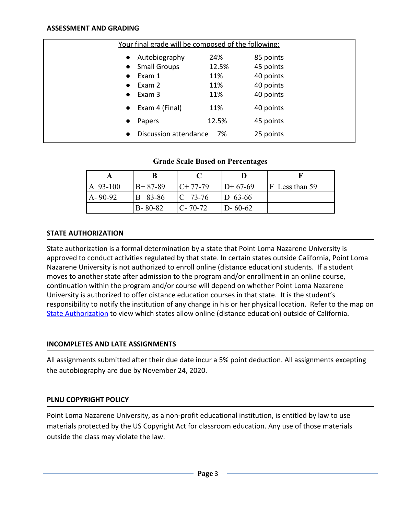|           | <u>Your final grade will be composed of the following:</u> |       |           |  |
|-----------|------------------------------------------------------------|-------|-----------|--|
| $\bullet$ | Autobiography                                              | 24%   | 85 points |  |
| $\bullet$ | <b>Small Groups</b>                                        | 12.5% | 45 points |  |
|           | Exam 1                                                     | 11%   | 40 points |  |
|           | Exam 2                                                     | 11%   | 40 points |  |
| $\bullet$ | Exam 3                                                     | 11%   | 40 points |  |
| $\bullet$ | Exam 4 (Final)                                             | 11%   | 40 points |  |
| $\bullet$ | Papers                                                     | 12.5% | 45 points |  |
| $\bullet$ | Discussion attendance                                      | 7%    | 25 points |  |

#### **Grade Scale Based on Percentages**

| A 93-100      | $B+87-89$      | $C+77-79$     | $ID+67-69$    | $F$ Less than 59 |
|---------------|----------------|---------------|---------------|------------------|
| $A - 90 - 92$ | <b>B</b> 83-86 | $ C 73-76$    | $ D 63-66 $   |                  |
|               | $B - 80 - 82$  | $C - 70 - 72$ | $D - 60 - 62$ |                  |

#### **STATE AUTHORIZATION**

State authorization is a formal determination by a state that Point Loma Nazarene University is approved to conduct activities regulated by that state. In certain states outside California, Point Loma Nazarene University is not authorized to enroll online (distance education) students. If a student moves to another state after admission to the program and/or enrollment in an online course, continuation within the program and/or course will depend on whether Point Loma Nazarene University is authorized to offer distance education courses in that state. It is the student's responsibility to notify the institution of any change in his or her physical location. Refer to the map on [State Authorization](https://www.pointloma.edu/offices/office-institutional-effectiveness-research/disclosures) to view which states allow online (distance education) outside of California.

### **INCOMPLETES AND LATE ASSIGNMENTS**

All assignments submitted after their due date incur a 5% point deduction. All assignments excepting the autobiography are due by November 24, 2020.

### **PLNU COPYRIGHT POLICY**

Point Loma Nazarene University, as a non-profit educational institution, is entitled by law to use materials protected by the US Copyright Act for classroom education. Any use of those materials outside the class may violate the law.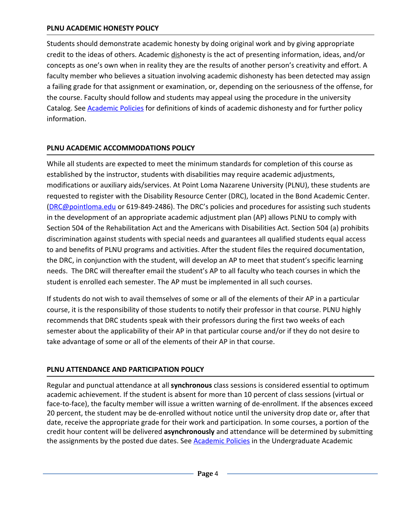### **PLNU ACADEMIC HONESTY POLICY**

Students should demonstrate academic honesty by doing original work and by giving appropriate credit to the ideas of others. Academic dishonesty is the act of presenting information, ideas, and/or concepts as one's own when in reality they are the results of another person's creativity and effort. A faculty member who believes a situation involving academic dishonesty has been detected may assign a failing grade for that assignment or examination, or, depending on the seriousness of the offense, for the course. Faculty should follow and students may appeal using the procedure in the university Catalog. See [Academic Policies](http://catalog.pointloma.edu/content.php?catoid=18&navoid=1278) for definitions of kinds of academic dishonesty and for further policy information.

## **PLNU ACADEMIC ACCOMMODATIONS POLICY**

While all students are expected to meet the minimum standards for completion of this course as established by the instructor, students with disabilities may require academic adjustments, modifications or auxiliary aids/services. At Point Loma Nazarene University (PLNU), these students are requested to register with the Disability Resource Center (DRC), located in the Bond Academic Center. ([DRC@pointloma.edu](mailto:DRC@pointloma.edu) or 619-849-2486). The DRC's policies and procedures for assisting such students in the development of an appropriate academic adjustment plan (AP) allows PLNU to comply with Section 504 of the Rehabilitation Act and the Americans with Disabilities Act. Section 504 (a) prohibits discrimination against students with special needs and guarantees all qualified students equal access to and benefits of PLNU programs and activities. After the student files the required documentation, the DRC, in conjunction with the student, will develop an AP to meet that student's specific learning needs. The DRC will thereafter email the student's AP to all faculty who teach courses in which the student is enrolled each semester. The AP must be implemented in all such courses.

If students do not wish to avail themselves of some or all of the elements of their AP in a particular course, it is the responsibility of those students to notify their professor in that course. PLNU highly recommends that DRC students speak with their professors during the first two weeks of each semester about the applicability of their AP in that particular course and/or if they do not desire to take advantage of some or all of the elements of their AP in that course.

### **PLNU ATTENDANCE AND PARTICIPATION POLICY**

Regular and punctual attendance at all **synchronous** class sessions is considered essential to optimum academic achievement. If the student is absent for more than 10 percent of class sessions (virtual or face-to-face), the faculty member will issue a written warning of de-enrollment. If the absences exceed 20 percent, the student may be de-enrolled without notice until the university drop date or, after that date, receive the appropriate grade for their work and participation. In some courses, a portion of the credit hour content will be delivered **asynchronously** and attendance will be determined by submitting the assignments by the posted due dates. See **Academic Policies** in the Undergraduate Academic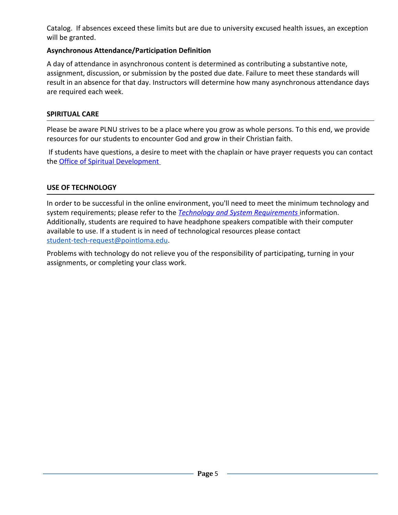Catalog. If absences exceed these limits but are due to university excused health issues, an exception will be granted.

# **Asynchronous Attendance/Participation Definition**

A day of attendance in asynchronous content is determined as contributing a substantive note, assignment, discussion, or submission by the posted due date. Failure to meet these standards will result in an absence for that day. Instructors will determine how many asynchronous attendance days are required each week.

### **SPIRITUAL CARE**

Please be aware PLNU strives to be a place where you grow as whole persons. To this end, we provide resources for our students to encounter God and grow in their Christian faith.

 If students have questions, a desire to meet with the chaplain or have prayer requests you can contact the [Office of Spiritual Development](https://www.pointloma.edu/offices/spiritual-development) 

## **USE OF TECHNOLOGY**

In order to be successful in the online environment, you'll need to meet the minimum technology and system requirements; please refer to the *[Technology and System Requirements](https://help.pointloma.edu/TDClient/1808/Portal/KB/ArticleDet?ID=108349)* information. Additionally, students are required to have headphone speakers compatible with their computer available to use. If a student is in need of technological resources please contact [student-tech-request@pointloma.edu](mailto:student-tech-request@pointloma.edu).

Problems with technology do not relieve you of the responsibility of participating, turning in your assignments, or completing your class work.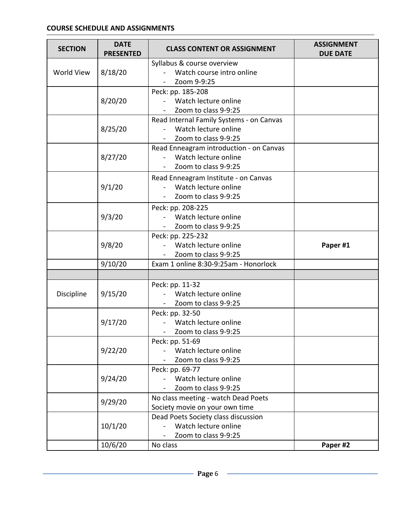#### **COURSE SCHEDULE AND ASSIGNMENTS**

| <b>SECTION</b>        | <b>DATE</b><br><b>PRESENTED</b> | <b>CLASS CONTENT OR ASSIGNMENT</b>       | <b>ASSIGNMENT</b><br><b>DUE DATE</b> |
|-----------------------|---------------------------------|------------------------------------------|--------------------------------------|
|                       |                                 | Syllabus & course overview               |                                      |
| World View<br>8/18/20 |                                 | Watch course intro online                |                                      |
|                       |                                 | Zoom 9-9:25                              |                                      |
|                       |                                 | Peck: pp. 185-208                        |                                      |
|                       | 8/20/20                         | Watch lecture online                     |                                      |
|                       |                                 | Zoom to class 9-9:25                     |                                      |
|                       |                                 | Read Internal Family Systems - on Canvas |                                      |
|                       | 8/25/20                         | Watch lecture online                     |                                      |
|                       |                                 | Zoom to class 9-9:25                     |                                      |
|                       |                                 | Read Enneagram introduction - on Canvas  |                                      |
|                       | 8/27/20                         | Watch lecture online                     |                                      |
|                       |                                 | Zoom to class 9-9:25                     |                                      |
|                       |                                 | Read Enneagram Institute - on Canvas     |                                      |
|                       | 9/1/20                          | Watch lecture online                     |                                      |
|                       |                                 | Zoom to class 9-9:25                     |                                      |
|                       |                                 | Peck: pp. 208-225                        |                                      |
|                       | 9/3/20                          | Watch lecture online                     |                                      |
|                       | Zoom to class 9-9:25            |                                          |                                      |
|                       |                                 | Peck: pp. 225-232                        |                                      |
|                       | 9/8/20                          | Watch lecture online                     | Paper #1                             |
|                       | Zoom to class 9-9:25            |                                          |                                      |
|                       | 9/10/20                         | Exam 1 online 8:30-9:25am - Honorlock    |                                      |
|                       |                                 |                                          |                                      |
|                       |                                 | Peck: pp. 11-32                          |                                      |
| Discipline            | 9/15/20                         | Watch lecture online                     |                                      |
|                       |                                 | Zoom to class 9-9:25                     |                                      |
|                       |                                 | Peck: pp. 32-50                          |                                      |
| 9/17/20               |                                 | Watch lecture online                     |                                      |
|                       |                                 | Zoom to class 9-9:25                     |                                      |
|                       |                                 | Peck: pp. 51-69                          |                                      |
|                       | 9/22/20                         | Watch lecture online                     |                                      |
|                       |                                 | Zoom to class 9-9:25                     |                                      |
|                       |                                 | Peck: pp. 69-77                          |                                      |
| 9/24/20               |                                 | Watch lecture online                     |                                      |
|                       |                                 | Zoom to class 9-9:25                     |                                      |
|                       | 9/29/20                         | No class meeting - watch Dead Poets      |                                      |
|                       |                                 | Society movie on your own time           |                                      |
|                       |                                 | Dead Poets Society class discussion      |                                      |
|                       | 10/1/20                         | Watch lecture online                     |                                      |
|                       |                                 | Zoom to class 9-9:25                     |                                      |
|                       | 10/6/20                         | No class                                 | Paper #2                             |